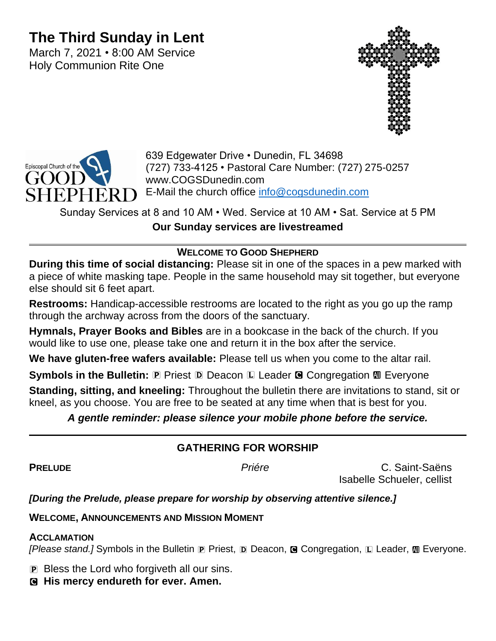# **The Third Sunday in Lent**

March 7, 2021 • 8:00 AM Service Holy Communion Rite One





639 Edgewater Drive • Dunedin, FL 34698 (727) 733-4125 • Pastoral Care Number: (727) 275-0257 www.COGSDunedin.com E-Mail the church office [info@cogsdunedin.com](mailto:info@cogsdunedin.com)

Sunday Services at 8 and 10 AM • Wed. Service at 10 AM • Sat. Service at 5 PM **Our Sunday services are livestreamed**

#### **WELCOME TO GOOD SHEPHERD**

**During this time of social distancing:** Please sit in one of the spaces in a pew marked with a piece of white masking tape. People in the same household may sit together, but everyone else should sit 6 feet apart.

**Restrooms:** Handicap-accessible restrooms are located to the right as you go up the ramp through the archway across from the doors of the sanctuary.

**Hymnals, Prayer Books and Bibles** are in a bookcase in the back of the church. If you would like to use one, please take one and return it in the box after the service.

**We have gluten-free wafers available:** Please tell us when you come to the altar rail.

**Symbols in the Bulletin: P** Priest **D** Deacon **L** Leader **G** Congregation **M** Everyone

**Standing, sitting, and kneeling:** Throughout the bulletin there are invitations to stand, sit or kneel, as you choose. You are free to be seated at any time when that is best for you.

# *A gentle reminder: please silence your mobile phone before the service.*

# **GATHERING FOR WORSHIP**

**PRELUDE** *Priére* C. Saint-Saëns Isabelle Schueler, cellist

*[During the Prelude, please prepare for worship by observing attentive silence.]*

#### **WELCOME, ANNOUNCEMENTS AND MISSION MOMENT**

#### **ACCLAMATION**

*[Please stand.]* Symbols in the Bulletin **P** Priest, **D** Deacon, **G** Congregation, **L** Leader, **M** Everyone.

**P** Bless the Lord who forgiveth all our sins.

C **His mercy endureth for ever. Amen.**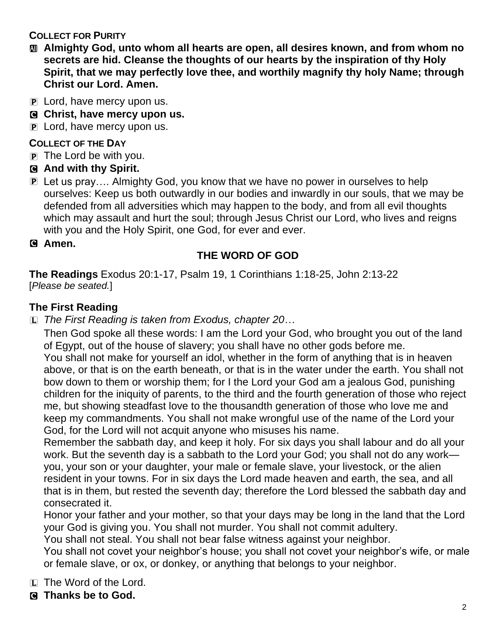#### **COLLECT FOR PURITY**

- a **Almighty God, unto whom all hearts are open, all desires known, and from whom no secrets are hid. Cleanse the thoughts of our hearts by the inspiration of thy Holy Spirit, that we may perfectly love thee, and worthily magnify thy holy Name; through Christ our Lord. Amen.**
- $\mathbf{P}$  Lord, have mercy upon us.
- C **Christ, have mercy upon us.**
- P Lord, have mercy upon us.

#### **COLLECT OF THE DAY**

- P The Lord be with you.
- C **And with thy Spirit.**
- P Let us pray…. Almighty God, you know that we have no power in ourselves to help ourselves: Keep us both outwardly in our bodies and inwardly in our souls, that we may be defended from all adversities which may happen to the body, and from all evil thoughts which may assault and hurt the soul; through Jesus Christ our Lord, who lives and reigns with you and the Holy Spirit, one God, for ever and ever.
- C **Amen.**

# **THE WORD OF GOD**

**The Readings** Exodus 20:1-17, Psalm 19, 1 Corinthians 1:18-25, John 2:13-22 [*Please be seated.*]

#### **The First Reading**

L *The First Reading is taken from Exodus, chapter 20…*

Then God spoke all these words: I am the Lord your God, who brought you out of the land of Egypt, out of the house of slavery; you shall have no other gods before me. You shall not make for yourself an idol, whether in the form of anything that is in heaven above, or that is on the earth beneath, or that is in the water under the earth. You shall not bow down to them or worship them; for I the Lord your God am a jealous God, punishing children for the iniquity of parents, to the third and the fourth generation of those who reject me, but showing steadfast love to the thousandth generation of those who love me and keep my commandments. You shall not make wrongful use of the name of the Lord your God, for the Lord will not acquit anyone who misuses his name.

Remember the sabbath day, and keep it holy. For six days you shall labour and do all your work. But the seventh day is a sabbath to the Lord your God; you shall not do any work you, your son or your daughter, your male or female slave, your livestock, or the alien resident in your towns. For in six days the Lord made heaven and earth, the sea, and all that is in them, but rested the seventh day; therefore the Lord blessed the sabbath day and consecrated it.

Honor your father and your mother, so that your days may be long in the land that the Lord your God is giving you. You shall not murder. You shall not commit adultery.

You shall not steal. You shall not bear false witness against your neighbor.

You shall not covet your neighbor's house; you shall not covet your neighbor's wife, or male or female slave, or ox, or donkey, or anything that belongs to your neighbor.

- L The Word of the Lord.
- C **Thanks be to God.**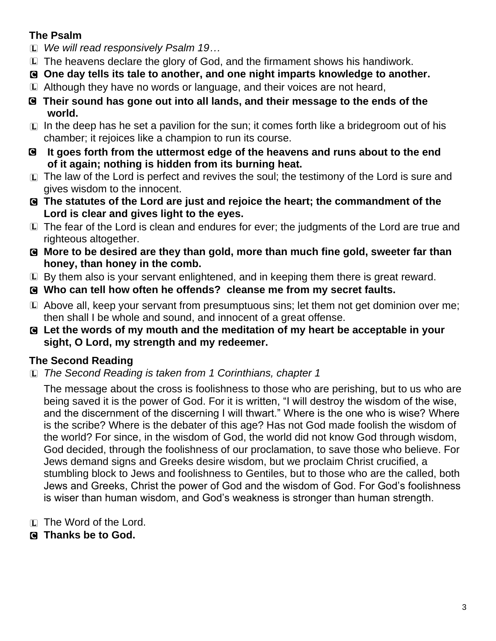#### **The Psalm**

- L *We will read responsively Psalm 19…*
- L The heavens declare the glory of God, and the firmament shows his handiwork.
- C **One day tells its tale to another, and one night imparts knowledge to another.**
- L Although they have no words or language, and their voices are not heard,
- C **Their sound has gone out into all lands, and their message to the ends of the world.**
- $\Box$  In the deep has he set a pavilion for the sun; it comes forth like a bridegroom out of his chamber; it rejoices like a champion to run its course.
- C **It goes forth from the uttermost edge of the heavens and runs about to the end of it again; nothing is hidden from its burning heat.**
- $\Box$  The law of the Lord is perfect and revives the soul; the testimony of the Lord is sure and gives wisdom to the innocent.
- C **The statutes of the Lord are just and rejoice the heart; the commandment of the Lord is clear and gives light to the eyes.**
- L The fear of the Lord is clean and endures for ever; the judgments of the Lord are true and righteous altogether.
- C **More to be desired are they than gold, more than much fine gold, sweeter far than honey, than honey in the comb.**
- L By them also is your servant enlightened, and in keeping them there is great reward.
- C **Who can tell how often he offends? cleanse me from my secret faults.**
- L Above all, keep your servant from presumptuous sins; let them not get dominion over me; then shall I be whole and sound, and innocent of a great offense.
- C **Let the words of my mouth and the meditation of my heart be acceptable in your sight, O Lord, my strength and my redeemer.**

# **The Second Reading**

L *The Second Reading is taken from 1 Corinthians, chapter 1*

The message about the cross is foolishness to those who are perishing, but to us who are being saved it is the power of God. For it is written, "I will destroy the wisdom of the wise, and the discernment of the discerning I will thwart." Where is the one who is wise? Where is the scribe? Where is the debater of this age? Has not God made foolish the wisdom of the world? For since, in the wisdom of God, the world did not know God through wisdom, God decided, through the foolishness of our proclamation, to save those who believe. For Jews demand signs and Greeks desire wisdom, but we proclaim Christ crucified, a stumbling block to Jews and foolishness to Gentiles, but to those who are the called, both Jews and Greeks, Christ the power of God and the wisdom of God. For God's foolishness is wiser than human wisdom, and God's weakness is stronger than human strength.

- L The Word of the Lord.
- C **Thanks be to God.**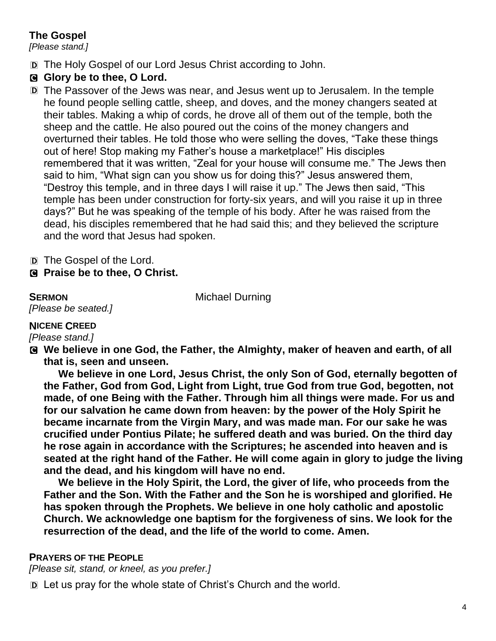#### **The Gospel**

*[Please stand.]*

D The Holy Gospel of our Lord Jesus Christ according to John.

#### G Glory be to thee, O Lord.

- D The Passover of the Jews was near, and Jesus went up to Jerusalem. In the temple he found people selling cattle, sheep, and doves, and the money changers seated at their tables. Making a whip of cords, he drove all of them out of the temple, both the sheep and the cattle. He also poured out the coins of the money changers and overturned their tables. He told those who were selling the doves, "Take these things out of here! Stop making my Father's house a marketplace!" His disciples remembered that it was written, "Zeal for your house will consume me." The Jews then said to him, "What sign can you show us for doing this?" Jesus answered them, "Destroy this temple, and in three days I will raise it up." The Jews then said, "This temple has been under construction for forty-six years, and will you raise it up in three days?" But he was speaking of the temple of his body. After he was raised from the dead, his disciples remembered that he had said this; and they believed the scripture and the word that Jesus had spoken.
- D The Gospel of the Lord.
- C **Praise be to thee, O Christ.**

**SERMON** Michael Durning

# *[Please be seated.]*

**NICENE CREED**  *[Please stand.]*

C **We believe in one God, the Father, the Almighty, maker of heaven and earth, of all that is, seen and unseen.** 

**We believe in one Lord, Jesus Christ, the only Son of God, eternally begotten of the Father, God from God, Light from Light, true God from true God, begotten, not made, of one Being with the Father. Through him all things were made. For us and for our salvation he came down from heaven: by the power of the Holy Spirit he became incarnate from the Virgin Mary, and was made man. For our sake he was crucified under Pontius Pilate; he suffered death and was buried. On the third day he rose again in accordance with the Scriptures; he ascended into heaven and is seated at the right hand of the Father. He will come again in glory to judge the living and the dead, and his kingdom will have no end.**

**We believe in the Holy Spirit, the Lord, the giver of life, who proceeds from the Father and the Son. With the Father and the Son he is worshiped and glorified. He has spoken through the Prophets. We believe in one holy catholic and apostolic Church. We acknowledge one baptism for the forgiveness of sins. We look for the resurrection of the dead, and the life of the world to come. Amen.**

#### **PRAYERS OF THE PEOPLE**

*[Please sit, stand, or kneel, as you prefer.]*

D Let us pray for the whole state of Christ's Church and the world.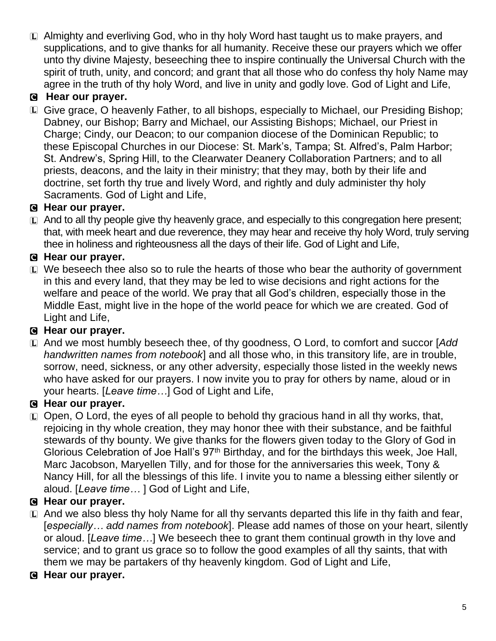L Almighty and everliving God, who in thy holy Word hast taught us to make prayers, and supplications, and to give thanks for all humanity. Receive these our prayers which we offer unto thy divine Majesty, beseeching thee to inspire continually the Universal Church with the spirit of truth, unity, and concord; and grant that all those who do confess thy holy Name may agree in the truth of thy holy Word, and live in unity and godly love. God of Light and Life,

# C **Hear our prayer.**

L Give grace, O heavenly Father, to all bishops, especially to Michael, our Presiding Bishop; Dabney, our Bishop; Barry and Michael, our Assisting Bishops; Michael, our Priest in Charge; Cindy, our Deacon; to our companion diocese of the Dominican Republic; to these Episcopal Churches in our Diocese: St. Mark's, Tampa; St. Alfred's, Palm Harbor; St. Andrew's, Spring Hill, to the Clearwater Deanery Collaboration Partners; and to all priests, deacons, and the laity in their ministry; that they may, both by their life and doctrine, set forth thy true and lively Word, and rightly and duly administer thy holy Sacraments. God of Light and Life,

#### C **Hear our prayer.**

 $\Box$  And to all thy people give thy heavenly grace, and especially to this congregation here present; that, with meek heart and due reverence, they may hear and receive thy holy Word, truly serving thee in holiness and righteousness all the days of their life. God of Light and Life,

# C **Hear our prayer.**

L We beseech thee also so to rule the hearts of those who bear the authority of government in this and every land, that they may be led to wise decisions and right actions for the welfare and peace of the world. We pray that all God's children, especially those in the Middle East, might live in the hope of the world peace for which we are created. God of Light and Life,

# C **Hear our prayer.**

L And we most humbly beseech thee, of thy goodness, O Lord, to comfort and succor [*Add handwritten names from notebook*] and all those who, in this transitory life, are in trouble, sorrow, need, sickness, or any other adversity, especially those listed in the weekly news who have asked for our prayers. I now invite you to pray for others by name, aloud or in your hearts. [*Leave time…*] God of Light and Life,

# C **Hear our prayer.**

 $\Box$  Open, O Lord, the eyes of all people to behold thy gracious hand in all thy works, that, rejoicing in thy whole creation, they may honor thee with their substance, and be faithful stewards of thy bounty. We give thanks for the flowers given today to the Glory of God in Glorious Celebration of Joe Hall's 97<sup>th</sup> Birthday, and for the birthdays this week, Joe Hall, Marc Jacobson, Maryellen Tilly, and for those for the anniversaries this week, Tony & Nancy Hill, for all the blessings of this life. I invite you to name a blessing either silently or aloud. [*Leave time…* ] God of Light and Life,

#### C **Hear our prayer.**

 $\Box$  And we also bless thy holy Name for all thy servants departed this life in thy faith and fear, [*especially… add names from notebook*]. Please add names of those on your heart, silently or aloud. [*Leave time…*] We beseech thee to grant them continual growth in thy love and service; and to grant us grace so to follow the good examples of all thy saints, that with them we may be partakers of thy heavenly kingdom. God of Light and Life,

#### C **Hear our prayer.**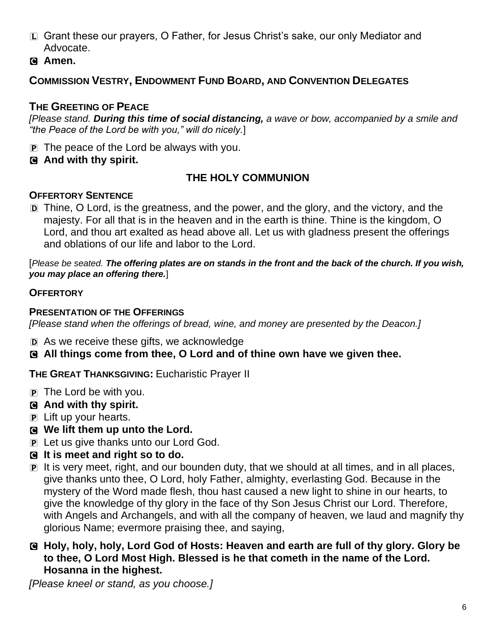- L Grant these our prayers, O Father, for Jesus Christ's sake, our only Mediator and Advocate.
- C **Amen.**

#### **COMMISSION VESTRY, ENDOWMENT FUND BOARD, AND CONVENTION DELEGATES**

#### **THE GREETING OF PEACE**

*[Please stand. During this time of social distancing, a wave or bow, accompanied by a smile and "the Peace of the Lord be with you," will do nicely.*]

- $\overline{P}$  The peace of the Lord be always with you.
- C **And with thy spirit.**

#### **THE HOLY COMMUNION**

#### **OFFERTORY SENTENCE**

D Thine, O Lord, is the greatness, and the power, and the glory, and the victory, and the majesty. For all that is in the heaven and in the earth is thine. Thine is the kingdom, O Lord, and thou art exalted as head above all. Let us with gladness present the offerings and oblations of our life and labor to the Lord.

[*Please be seated. The offering plates are on stands in the front and the back of the church. If you wish, you may place an offering there.*]

#### **OFFERTORY**

#### **PRESENTATION OF THE OFFERINGS**

*[Please stand when the offerings of bread, wine, and money are presented by the Deacon.]*

- D As we receive these gifts, we acknowledge
- C **All things come from thee, O Lord and of thine own have we given thee.**

#### **THE GREAT THANKSGIVING:** Eucharistic Prayer II

- $\overline{P}$  The Lord be with you.
- C **And with thy spirit.**
- P Lift up your hearts.
- C **We lift them up unto the Lord.**
- P Let us give thanks unto our Lord God.
- C **It is meet and right so to do.**
- P It is very meet, right, and our bounden duty, that we should at all times, and in all places, give thanks unto thee, O Lord, holy Father, almighty, everlasting God. Because in the mystery of the Word made flesh, thou hast caused a new light to shine in our hearts, to give the knowledge of thy glory in the face of thy Son Jesus Christ our Lord. Therefore, with Angels and Archangels, and with all the company of heaven, we laud and magnify thy glorious Name; evermore praising thee, and saying,
- C **Holy, holy, holy, Lord God of Hosts: Heaven and earth are full of thy glory. Glory be to thee, O Lord Most High. Blessed is he that cometh in the name of the Lord. Hosanna in the highest.**

*[Please kneel or stand, as you choose.]*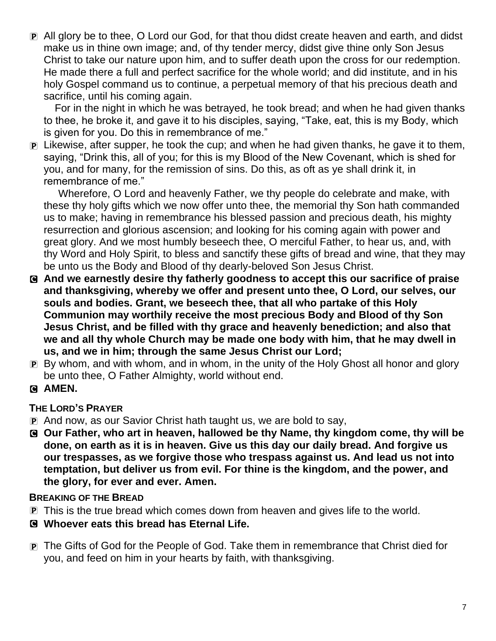P All glory be to thee, O Lord our God, for that thou didst create heaven and earth, and didst make us in thine own image; and, of thy tender mercy, didst give thine only Son Jesus Christ to take our nature upon him, and to suffer death upon the cross for our redemption. He made there a full and perfect sacrifice for the whole world; and did institute, and in his holy Gospel command us to continue, a perpetual memory of that his precious death and sacrifice, until his coming again.

For in the night in which he was betrayed, he took bread; and when he had given thanks to thee, he broke it, and gave it to his disciples, saying, "Take, eat, this is my Body, which is given for you. Do this in remembrance of me."

P Likewise, after supper, he took the cup; and when he had given thanks, he gave it to them, saying, "Drink this, all of you; for this is my Blood of the New Covenant, which is shed for you, and for many, for the remission of sins. Do this, as oft as ye shall drink it, in remembrance of me."

Wherefore, O Lord and heavenly Father, we thy people do celebrate and make, with these thy holy gifts which we now offer unto thee, the memorial thy Son hath commanded us to make; having in remembrance his blessed passion and precious death, his mighty resurrection and glorious ascension; and looking for his coming again with power and great glory. And we most humbly beseech thee, O merciful Father, to hear us, and, with thy Word and Holy Spirit, to bless and sanctify these gifts of bread and wine, that they may be unto us the Body and Blood of thy dearly-beloved Son Jesus Christ.

- C **And we earnestly desire thy fatherly goodness to accept this our sacrifice of praise and thanksgiving, whereby we offer and present unto thee, O Lord, our selves, our souls and bodies. Grant, we beseech thee, that all who partake of this Holy Communion may worthily receive the most precious Body and Blood of thy Son Jesus Christ, and be filled with thy grace and heavenly benediction; and also that we and all thy whole Church may be made one body with him, that he may dwell in us, and we in him; through the same Jesus Christ our Lord;**
- P By whom, and with whom, and in whom, in the unity of the Holy Ghost all honor and glory be unto thee, O Father Almighty, world without end.
- C **AMEN.**

# **THE LORD'S PRAYER**

- P And now, as our Savior Christ hath taught us, we are bold to say,
- C **Our Father, who art in heaven, hallowed be thy Name, thy kingdom come, thy will be done, on earth as it is in heaven. Give us this day our daily bread. And forgive us our trespasses, as we forgive those who trespass against us. And lead us not into temptation, but deliver us from evil. For thine is the kingdom, and the power, and the glory, for ever and ever. Amen.**

#### **BREAKING OF THE BREAD**

- P This is the true bread which comes down from heaven and gives life to the world.
- C **Whoever eats this bread has Eternal Life.**
- P The Gifts of God for the People of God. Take them in remembrance that Christ died for you, and feed on him in your hearts by faith, with thanksgiving.